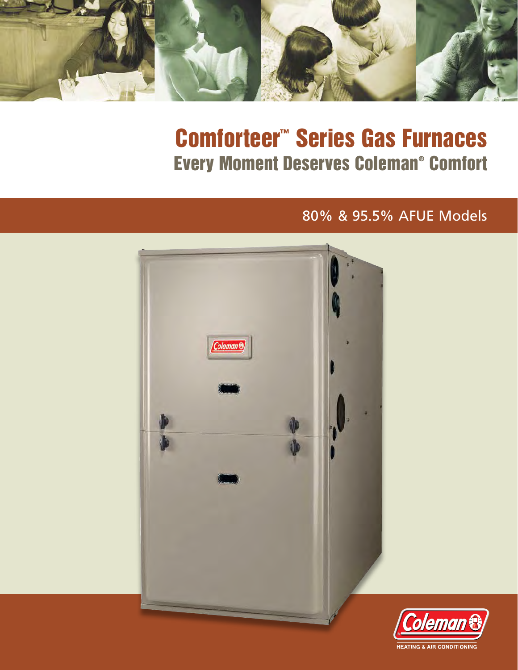

# Comforteer™ Series Gas Furnaces Every Moment Deserves Coleman® Comfort

# 80% & 95.5% AFUE Models



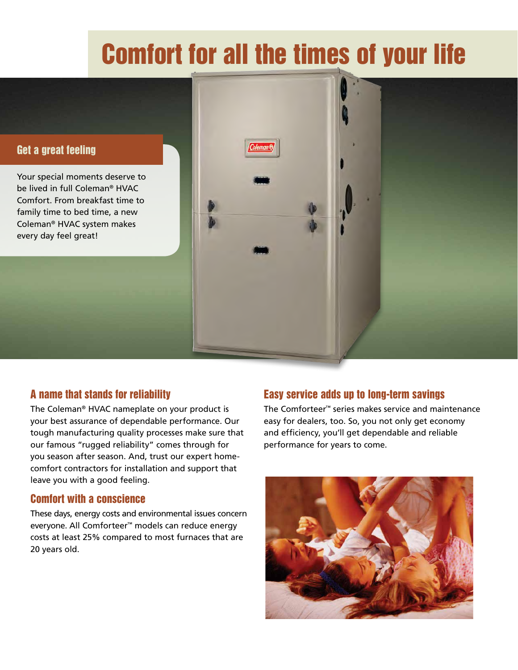# Comfort for all the times of your life

#### Get a great feeling

Your special moments deserve to be lived in full Coleman® HVAC Comfort. From breakfast time to family time to bed time, a new Coleman® HVAC system makes every day feel great!

### A name that stands for reliability

The Coleman® HVAC nameplate on your product is your best assurance of dependable performance. Our tough manufacturing quality processes make sure that our famous "rugged reliability" comes through for you season after season. And, trust our expert homecomfort contractors for installation and support that leave you with a good feeling.

#### Comfort with a conscience

These days, energy costs and environmental issues concern everyone. All Comforteer™ models can reduce energy costs at least 25% compared to most furnaces that are 20 years old.

#### Easy service adds up to long-term savings

The Comforteer™ series makes service and maintenance easy for dealers, too. So, you not only get economy and efficiency, you'll get dependable and reliable performance for years to come.

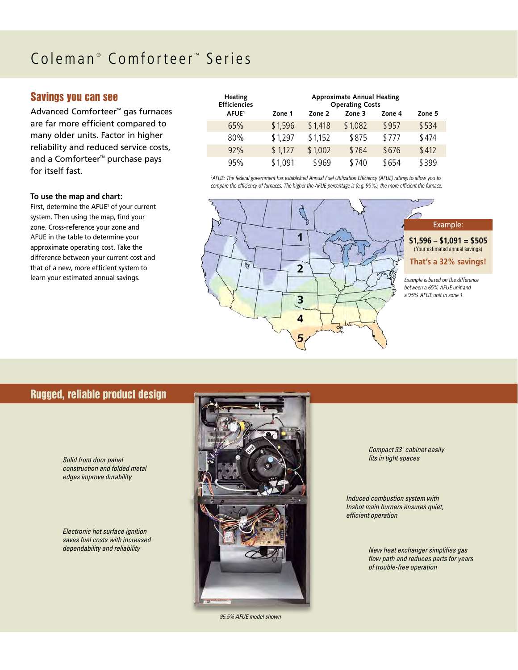#### $\text{Coleman}^{\circ}$ Comforteer<sup>™</sup> Series

#### Savings you can see

Advanced Comforteer™ gas furnaces are far more efficient compared to many older units. Factor in higher reliability and reduced service costs, and a Comforteer™ purchase pays for itself fast.

#### **To use the map and chart:**

First, determine the AFUE<sup>1</sup> of your current system. Then using the map, find your zone. Cross-reference your zone and AFUE in the table to determine your approximate operating cost. Take the difference between your current cost and that of a new, more efficient system to learn your estimated annual savings.

| Heating<br><b>Efficiencies</b> | <b>Approximate Annual Heating</b><br><b>Operating Costs</b> |         |         |        |        |  |
|--------------------------------|-------------------------------------------------------------|---------|---------|--------|--------|--|
| AFUE <sup>1</sup>              | Zone 1                                                      | Zone 2  | Zone 3  | Zone 4 | Zone 5 |  |
| 65%                            | \$1,596                                                     | \$1,418 | \$1,082 | \$957  | \$534  |  |
| 80%                            | \$1,297                                                     | \$1,152 | \$875   | \$777  | \$474  |  |
| 92%                            | \$1,127                                                     | \$1,002 | \$764   | \$676  | \$412  |  |
| 95%                            | \$1,091                                                     | \$969   | \$740   | \$654  | \$399  |  |

*1 AFUE: The federal government has established Annual Fuel Utilization Efficiency (AFUE) ratings to allow you to compare the efficiency of furnaces. The higher the AFUE percentage is (e.g. 95%), the more efficient the furnace.*



#### Rugged, reliable product design

*Solid front door panel construction and folded metal edges improve durability*

*Electronic hot surface ignition saves fuel costs with increased dependability and reliability*



*95.5% AFUE model shown*

*Compact 33" cabinet easily fits in tight spaces*

*Induced combustion system with Inshot main burners ensures quiet, efficient operation*

> *New heat exchanger simplifies gas flow path and reduces parts for years of trouble-free operation*